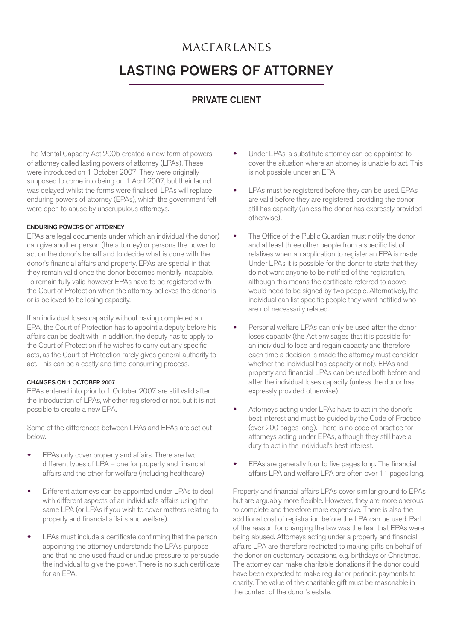## **MACFARLANES**

# LASTING POWERS OF ATTORNEY

### PRIVATE CLIENT

The Mental Capacity Act 2005 created a new form of powers of attorney called lasting powers of attorney (LPAs). These were introduced on 1 October 2007. They were originally supposed to come into being on 1 April 2007, but their launch was delayed whilst the forms were finalised. LPAs will replace enduring powers of attorney (EPAs), which the government felt were open to abuse by unscrupulous attorneys.

#### ENDURING POWERS OF ATTORNEY

EPAs are legal documents under which an individual (the donor) can give another person (the attorney) or persons the power to act on the donor's behalf and to decide what is done with the donor's financial affairs and property. EPAs are special in that they remain valid once the donor becomes mentally incapable. To remain fully valid however EPAs have to be registered with the Court of Protection when the attorney believes the donor is or is believed to be losing capacity.

If an individual loses capacity without having completed an EPA, the Court of Protection has to appoint a deputy before his affairs can be dealt with. In addition, the deputy has to apply to the Court of Protection if he wishes to carry out any specific acts, as the Court of Protection rarely gives general authority to act. This can be a costly and time-consuming process.

#### CHANGES ON 1 OCTOBER 2007

EPAs entered into prior to 1 October 2007 are still valid after the introduction of LPAs, whether registered or not, but it is not possible to create a new EPA.

Some of the differences between LPAs and EPAs are set out below.

- EPAs only cover property and affairs. There are two different types of LPA – one for property and financial affairs and the other for welfare (including healthcare).
- Different attorneys can be appointed under LPAs to deal with different aspects of an individual's affairs using the same LPA (or LPAs if you wish to cover matters relating to property and financial affairs and welfare).
- LPAs must include a certificate confirming that the person appointing the attorney understands the LPA's purpose and that no one used fraud or undue pressure to persuade the individual to give the power. There is no such certificate for an EPA.
- Under LPAs, a substitute attorney can be appointed to cover the situation where an attorney is unable to act. This is not possible under an EPA.
- LPAs must be registered before they can be used. EPAs are valid before they are registered, providing the donor still has capacity (unless the donor has expressly provided otherwise).
- The Office of the Public Guardian must notify the donor and at least three other people from a specific list of relatives when an application to register an EPA is made. Under LPAs it is possible for the donor to state that they do not want anyone to be notified of the registration, although this means the certificate referred to above would need to be signed by two people. Alternatively, the individual can list specific people they want notified who are not necessarily related.
- Personal welfare LPAs can only be used after the donor loses capacity (the Act envisages that it is possible for an individual to lose and regain capacity and therefore each time a decision is made the attorney must consider whether the individual has capacity or not). EPAs and property and financial LPAs can be used both before and after the individual loses capacity (unless the donor has expressly provided otherwise).
- Attorneys acting under LPAs have to act in the donor's best interest and must be guided by the Code of Practice (over 200 pages long). There is no code of practice for attorneys acting under EPAs, although they still have a duty to act in the individual's best interest.
- EPAs are generally four to five pages long. The financial affairs LPA and welfare LPA are often over 11 pages long.

Property and financial affairs LPAs cover similar ground to EPAs but are arguably more flexible. However, they are more onerous to complete and therefore more expensive. There is also the additional cost of registration before the LPA can be used. Part of the reason for changing the law was the fear that EPAs were being abused. Attorneys acting under a property and financial affairs LPA are therefore restricted to making gifts on behalf of the donor on customary occasions, e.g. birthdays or Christmas. The attorney can make charitable donations if the donor could have been expected to make regular or periodic payments to charity. The value of the charitable gift must be reasonable in the context of the donor's estate.